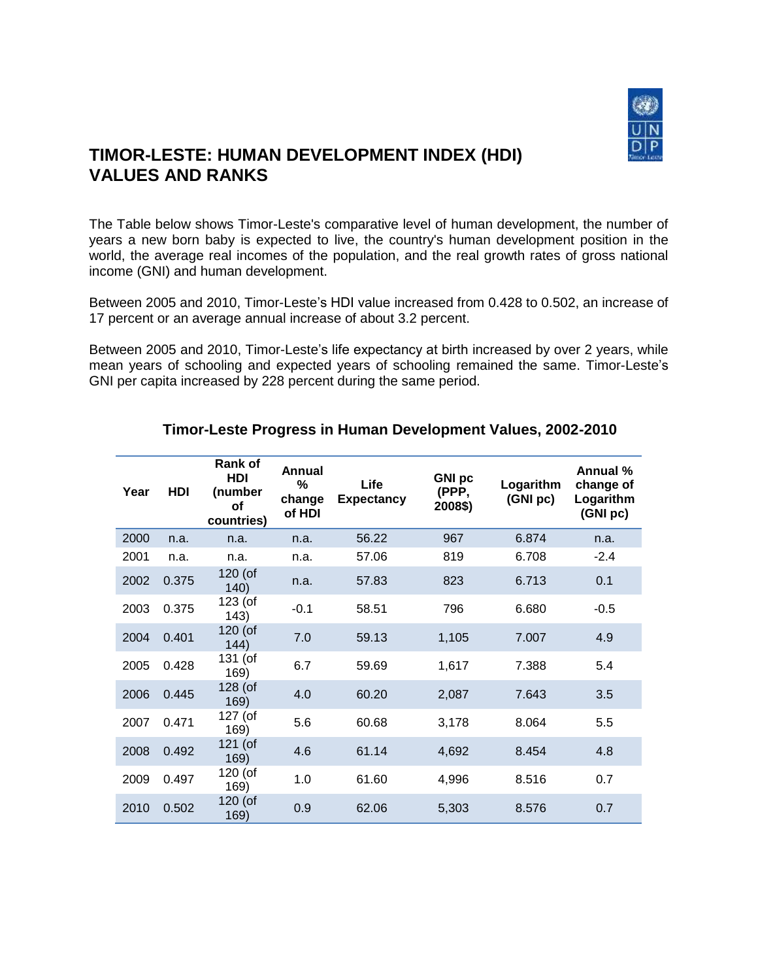

## **TIMOR-LESTE: HUMAN DEVELOPMENT INDEX (HDI) VALUES AND RANKS**

The Table below shows Timor-Leste's comparative level of human development, the number of years a new born baby is expected to live, the country's human development position in the world, the average real incomes of the population, and the real growth rates of gross national income (GNI) and human development.

Between 2005 and 2010, Timor-Leste's HDI value increased from 0.428 to 0.502, an increase of 17 percent or an average annual increase of about 3.2 percent.

Between 2005 and 2010, Timor-Leste's life expectancy at birth increased by over 2 years, while mean years of schooling and expected years of schooling remained the same. Timor-Leste's GNI per capita increased by 228 percent during the same period.

| Year | HDI   | Rank of<br>HDI<br>(number<br>οf<br>countries) | Annual<br>%<br>change<br>of HDI | Life<br><b>Expectancy</b> | <b>GNI pc</b><br>(PPP,<br>2008\$) | Logarithm<br>(GNI pc) | Annual %<br>change of<br>Logarithm<br>(GNI pc) |
|------|-------|-----------------------------------------------|---------------------------------|---------------------------|-----------------------------------|-----------------------|------------------------------------------------|
| 2000 | n.a.  | n.a.                                          | n.a.                            | 56.22                     | 967                               | 6.874                 | n.a.                                           |
| 2001 | n.a.  | n.a.                                          | n.a.                            | 57.06                     | 819                               | 6.708                 | $-2.4$                                         |
| 2002 | 0.375 | $120$ (of<br>140)                             | n.a.                            | 57.83                     | 823                               | 6.713                 | 0.1                                            |
| 2003 | 0.375 | 123 (of<br>143)                               | $-0.1$                          | 58.51                     | 796                               | 6.680                 | $-0.5$                                         |
| 2004 | 0.401 | 120 (of<br>144)                               | 7.0                             | 59.13                     | 1,105                             | 7.007                 | 4.9                                            |
| 2005 | 0.428 | 131 (of<br>169)                               | 6.7                             | 59.69                     | 1,617                             | 7.388                 | 5.4                                            |
| 2006 | 0.445 | 128 (of<br>169)                               | 4.0                             | 60.20                     | 2,087                             | 7.643                 | 3.5                                            |
| 2007 | 0.471 | 127 (of<br>169)                               | 5.6                             | 60.68                     | 3,178                             | 8.064                 | 5.5                                            |
| 2008 | 0.492 | 121 (of<br>169)                               | 4.6                             | 61.14                     | 4,692                             | 8.454                 | 4.8                                            |
| 2009 | 0.497 | 120 (of<br>169)                               | 1.0                             | 61.60                     | 4,996                             | 8.516                 | 0.7                                            |
| 2010 | 0.502 | $120$ (of<br>169)                             | 0.9                             | 62.06                     | 5,303                             | 8.576                 | 0.7                                            |

## **Timor-Leste Progress in Human Development Values, 2002-2010**